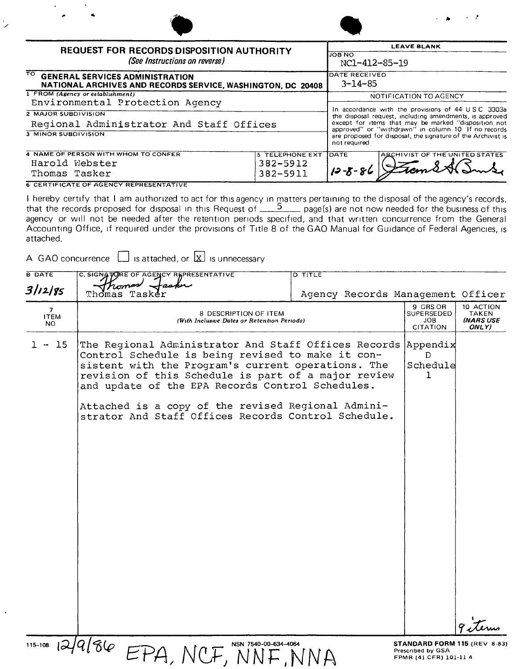|                                                                                                      |                                                      |                              | $\cdot$ $\cdot$                                                                                                                                                                                                                                                                                             |  |  |
|------------------------------------------------------------------------------------------------------|------------------------------------------------------|------------------------------|-------------------------------------------------------------------------------------------------------------------------------------------------------------------------------------------------------------------------------------------------------------------------------------------------------------|--|--|
| <b>REQUEST FOR RECORDS DISPOSITION AUTHORITY</b><br>(See Instructions on reverse)                    | <b>LEAVE BLANK</b><br><b>JOB NO</b><br>NC1-412-85-19 |                              |                                                                                                                                                                                                                                                                                                             |  |  |
| TO GENERAL SERVICES ADMINISTRATION<br>NATIONAL ARCHIVES AND RECORDS SERVICE, WASHINGTON, DC 20408    | DATE RECEIVED<br>$3 - 14 - 85$                       |                              |                                                                                                                                                                                                                                                                                                             |  |  |
| 1 FROM (Agency or establishment)<br>Environmental Protection Agency                                  |                                                      |                              | NOTIFICATION TO AGENCY                                                                                                                                                                                                                                                                                      |  |  |
| <b>2 MAJOR SUBDIVISION</b><br>Regional Administrator And Staff Offices<br><b>3 MINOR SUBDIVISION</b> |                                                      |                              | In accordance with the provisions of 44 USC 3303a<br>the disposal request, including amendments, is approved<br>except for items that may be marked "disposition not<br>approved" or "withdrawn" in column 10 If no records<br>are proposed for disposal, the signature of the Archivist is<br>not required |  |  |
| 4 NAME OF PERSON WITH WHOM TO CONFER<br>Harold Webster<br>Thomas Tasker                              | <b>5 TELEPHONE EXT</b><br>382-5912<br>382-5911       | <b>JDATE</b><br>$12 - 8 - 8$ | ARCHIVIST OF THE UNITED STATES                                                                                                                                                                                                                                                                              |  |  |

I hereby certify that I am authorized to act for this agency in matters pertaining to the disposal of the agency's records, that the records proposed for disposal in this Request of  $\frac{5}{2}$  page(s) are not now needed for the business of this agency or will not be needed after the retention periods specified, and that written concurrence from the General Accounting Office, if required under the provisions of Title 8 of the GAO Manual for Guidance of Federal Agencies, is attached.

A GAO concurrence  $\Box$  is attached, or  $\overline{\boxtimes}$  is unnecessary

| <b>B DATE</b>            | C. SIGNATURE OF AGENCY REPRESENTATIVE                                                                                                                                                                                                                                                                                                                                                            | <b>D TITLE</b>                    |                                                                             |                                                 |
|--------------------------|--------------------------------------------------------------------------------------------------------------------------------------------------------------------------------------------------------------------------------------------------------------------------------------------------------------------------------------------------------------------------------------------------|-----------------------------------|-----------------------------------------------------------------------------|-------------------------------------------------|
| 3/12/85                  | Thomas<br>Tasker                                                                                                                                                                                                                                                                                                                                                                                 | Agency Records Management Officer |                                                                             |                                                 |
| 7.<br><b>ITEM</b><br>NO. | 8 DESCRIPTION OF ITEM<br>(With Inclusive Dates or Retention Periods)                                                                                                                                                                                                                                                                                                                             |                                   | 9 GRS OR<br>SUPERSEDED<br>JOB<br><b>CITATION</b>                            | 10 ACTION<br><b>TAKEN</b><br>(NARS USE<br>ONLY) |
| 15<br>1 –                | The Regional Administrator And Staff Offices Records Appendix<br>Control Schedule is being revised to make it con-<br>sistent with the Program's current operations. The<br>revision of this Schedule is part of a major review<br>and update of the EPA Records Control Schedules.<br>Attached is a copy of the revised Regional Admini-<br>strator And Staff Offices Records Control Schedule. |                                   | D.<br>Schedule<br>ı                                                         |                                                 |
|                          | $115-108$ $12/9/86$ EPA, NCF,<br>NSN 7540-00-634-4064                                                                                                                                                                                                                                                                                                                                            |                                   | STANDARD FORM 115 (REV 8-83)<br>Prescribed by GSA<br>FPMR (41 CFR) 101-11 4 |                                                 |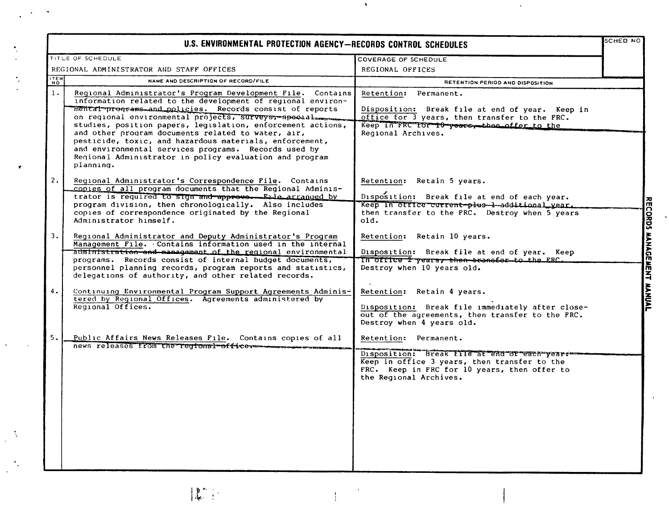| U.S. ENVIRONMENTAL PROTECTION AGENCY-RECORDS CONTROL SCHEDULES |                                                                                                                                                                                                                                                                                                                                                                                                                                                                                                                                                                |                                                                                                                                                                                                 |                      |  |  |
|----------------------------------------------------------------|----------------------------------------------------------------------------------------------------------------------------------------------------------------------------------------------------------------------------------------------------------------------------------------------------------------------------------------------------------------------------------------------------------------------------------------------------------------------------------------------------------------------------------------------------------------|-------------------------------------------------------------------------------------------------------------------------------------------------------------------------------------------------|----------------------|--|--|
|                                                                | TITLE OF SCHEDULE                                                                                                                                                                                                                                                                                                                                                                                                                                                                                                                                              | COVERAGE OF SCHEDULE                                                                                                                                                                            |                      |  |  |
|                                                                | REGIONAL ADMINISTRATOR AND STAFF OFFICES                                                                                                                                                                                                                                                                                                                                                                                                                                                                                                                       | REGIONAL OFFICES                                                                                                                                                                                |                      |  |  |
| ITEM                                                           | NAME AND DESCRIPTION OF RECORD/FILE                                                                                                                                                                                                                                                                                                                                                                                                                                                                                                                            | RETENTION PERIOD AND DISPOSITION                                                                                                                                                                |                      |  |  |
| 1.                                                             | Regional Administrator's Program Development File. Contains<br>information related to the development of reqional environ-<br>mental programs and policies. Records consist of reports<br>on regional environmental projects, surveys, speedal<br>studies, position papers, legislation, enforcement actions,<br>and other program documents related to water, air,<br>pesticide, toxic, and hazardous materials, enforcement,<br>and environmental services programs. Records used by<br>Regional Administrator in policy evaluation and program<br>planning. | Retention: Permanent.<br>Disposition: Break file at end of year. Keep in<br>office for 3 years, then transfer to the FRC.<br>Keep in FRC Tor T0 years, then offer to the<br>Regional Archives.  |                      |  |  |
| 2.                                                             | Regional Administrator's Correspondence File. Contains<br>copies of all program documents that the Regional Adminis-<br>trator is required to sign and approve. Elle arranged by<br>program division, then chronologically. Also includes<br>copies of correspondence originated by the Regional<br>Administrator himself.                                                                                                                                                                                                                                     | Retention: Retain 5 years.<br>Disposition: Break file at end of each year.<br>Keep in office current-plus-1-additional year.<br>then transfer to the FRC. Destroy when 5 years<br>old.          | <b>KECORD</b>        |  |  |
| 3.                                                             | Regional Administrator and Deputy Administrator's Program<br>Management File. Contains information used in the internal<br>administration and management of the regional environmental<br>programs. Records consist of internal budget documents,<br>personnel planning records, program reports and statistics,<br>delegations of authority, and other related records.                                                                                                                                                                                       | Retention: Retain 10 years.<br>Disposition: Break file at end of year. Keep<br>In office 2 years, then transfor to the FRC.<br>Destroy when 10 years old.                                       | <b>MANAGEME</b><br>E |  |  |
| 4.                                                             | Continuing Environmental Program Support Agreements Adminis-<br>tered by Regional Offices. Agreements administered by<br>Regional Offices.                                                                                                                                                                                                                                                                                                                                                                                                                     | Retention: Retain 4 years.<br>Disposition: Break file immediately after close-<br>out of the agreements, then transfer to the FRC.<br>Destroy when 4 years old.                                 | <b>MANUAL</b>        |  |  |
| 5.                                                             | Public Affairs News Releases File. Contains copies of all<br>news releases trom the regional officer                                                                                                                                                                                                                                                                                                                                                                                                                                                           | Retention: Permanent.<br>Disposition: Break file at end of each years<br>Keep in office 3 years, then transfer to the<br>FRC. Keep in FRC for 10 years, then offer to<br>the Regional Archives. |                      |  |  |

 $\Delta$ 

 $\mathbf{v}$ 

 $\begin{array}{c} \begin{array}{c} \mathbf{R}^{\mathbf{r}} \\ \mathbf{R}^{\mathbf{r}} \end{array} \end{array}$ 

 $\frac{1}{2} \frac{1}{2} \frac{d^2}{dt^2}$ 

 $\tilde{\mathcal{A}}$ 

 $\bar{1}$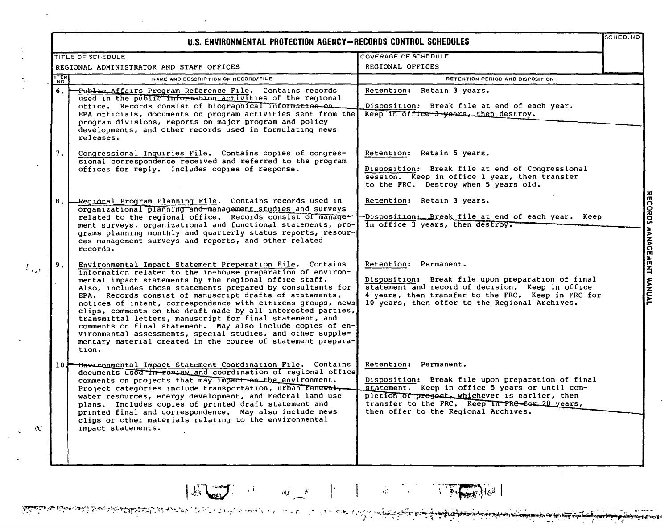|             | TITLE OF SCHEDULE                                                                                                                                                                                                                                                                                                                                                                                                                                                                                                                                                                                                                                                                                                | COVERAGE OF SCHEDULE                                                                                                                                                                                                                                                      |  |
|-------------|------------------------------------------------------------------------------------------------------------------------------------------------------------------------------------------------------------------------------------------------------------------------------------------------------------------------------------------------------------------------------------------------------------------------------------------------------------------------------------------------------------------------------------------------------------------------------------------------------------------------------------------------------------------------------------------------------------------|---------------------------------------------------------------------------------------------------------------------------------------------------------------------------------------------------------------------------------------------------------------------------|--|
|             | REGIONAL ADMINISTRATOR AND STAFF OFFICES                                                                                                                                                                                                                                                                                                                                                                                                                                                                                                                                                                                                                                                                         | REGIONAL OFFICES                                                                                                                                                                                                                                                          |  |
| <b>ITEM</b> | NAME AND DESCRIPTION OF RECORD/FILE                                                                                                                                                                                                                                                                                                                                                                                                                                                                                                                                                                                                                                                                              | RETENTION PERIOD AND DISPOSITION                                                                                                                                                                                                                                          |  |
| 6.          | Public Affairs Program Reference File. Contains records<br>used in the public information activities of the regional<br>office. Records consist of biographical information-on.<br>EPA officials, documents on program activities sent from the<br>program divisions, reports on major program and policy<br>developments, and other records used in formulating news<br>releases.                                                                                                                                                                                                                                                                                                                               | Retention: Retain 3 years.<br>Disposition: Break file at end of each year.<br>Keep in office 3 years, then destroy.                                                                                                                                                       |  |
| 7.          | Congressional Inquiries File. Contains copies of congres-<br>sional correspondence received and referred to the program<br>offices for reply. Includes copies of response.                                                                                                                                                                                                                                                                                                                                                                                                                                                                                                                                       | Retention: Retain 5 years.<br>Disposition: Break file at end of Congressional<br>session. Keep in office 1 year, then transfer<br>to the FRC. Destroy when 5 years old.                                                                                                   |  |
| 8.          | -Reqional Program Planning File. Contains records used in<br>organizational planning and management studies and surveys<br>related to the regional office. Records consist of manage-<br>ment surveys, organizational and functional statements, pro-<br>grams planning monthly and quarterly status reports, resour-<br>ces management surveys and reports, and other related<br>records.                                                                                                                                                                                                                                                                                                                       | Retention: Retain 3 years.<br>-Disposition: Break file at end of each year. Keep<br>in office 3 years, then destroy.                                                                                                                                                      |  |
| 9.          | Environmental Impact Statement Preparation File. Contains<br>information related to the in-house preparation of environ-<br>mental impact statements by the regional office staff.<br>Also, includes those statements prepared by consultants for<br>EPA. Records consist of manuscript drafts of statements,<br>notices of intent, correspondence with citizens groups, news<br>clips, comments on the draft made by all interested parties,<br>transmittal letters, manuscript for final statement, and<br>comments on final statement. May also include copies of en-<br>vironmental assessments, special studies, and other supple-<br>mentary material created in the course of statement prepara-<br>tion. | Retention: Permanent.<br>Disposition: Break file upon preparation of final<br>statement and record of decision. Keep in office<br>4 years, then transfer to the FRC. Keep in FRC for<br>10 years, then offer to the Regional Archives.                                    |  |
| 10 J        | <del>- Bnvironme</del> ntal Impact Statement Coordination File. Contains<br>documents used in review and coordination of regional office<br>comments on projects that may impact on the environment.<br>Project categories include transportation, urban renewal,<br>water resources, energy development, and Federal land use<br>plans. Includes copies of printed draft statement and<br>printed final and correspondence. May also include news<br>clips or other materials relating to the environmental<br>impact statements.                                                                                                                                                                               | Retention: Permanent.<br>Disposition: Break file upon preparation of final<br>statement. Keep in office 5 years or until com-<br>pletion of project, whichever is earlier, then<br>transfer to the FRC. Keep In FRG-for 20 years,<br>then offer to the Regional Archives. |  |

 $| \mathbb{E}[\mathbb{E}(\mathbb{E}^{\mathbb{E}})] | \mathbb{E}[\mathbb{E}(\mathbb{E}^{\mathbb{E}})] | \mathbb{E}[\mathbb{E}(\mathbb{E}^{\mathbb{E}})] | \mathbb{E}[\mathbb{E}(\mathbb{E}^{\mathbb{E}})] | \mathbb{E}[\mathbb{E}(\mathbb{E}^{\mathbb{E}})] | \mathbb{E}[\mathbb{E}(\mathbb{E}^{\mathbb{E}})] | \mathbb{E}[\mathbb{E}(\mathbb{E}^{\mathbb{E}})] | \mathbb{E}[\mathbb{E}(\mathbb{E}^{\mathbb{E}})] | \mathbb$ 

سه استشهار از<br>مه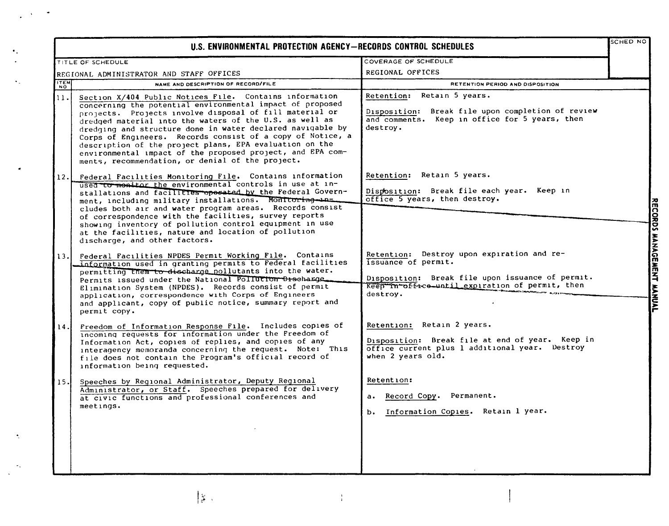| U.S. ENVIRONMENTAL PROTECTION AGENCY-RECORDS CONTROL SCHEDULES |                                                                                                                                                                                                                                                                                                                                                                                                                                                                                                                                                     |                                                                                                                                                                                      |                           |  |
|----------------------------------------------------------------|-----------------------------------------------------------------------------------------------------------------------------------------------------------------------------------------------------------------------------------------------------------------------------------------------------------------------------------------------------------------------------------------------------------------------------------------------------------------------------------------------------------------------------------------------------|--------------------------------------------------------------------------------------------------------------------------------------------------------------------------------------|---------------------------|--|
|                                                                | TITLE OF SCHEDULE                                                                                                                                                                                                                                                                                                                                                                                                                                                                                                                                   | COVERAGE OF SCHEDULE                                                                                                                                                                 |                           |  |
|                                                                | REGIONAL ADMINISTRATOR AND STAFF OFFICES                                                                                                                                                                                                                                                                                                                                                                                                                                                                                                            | REGIONAL OFFICES                                                                                                                                                                     |                           |  |
| <b>ITEM</b>                                                    | NAME AND DESCRIPTION OF RECORD/FILE                                                                                                                                                                                                                                                                                                                                                                                                                                                                                                                 | RETENTION PERIOD AND DISPOSITION                                                                                                                                                     |                           |  |
| 11.                                                            | Section X/404 Public Notices File. Contains information<br>concerning the potential environmental impact of proposed<br>projects. Projects involve disposal of fill material or<br>dredged material into the waters of the U.S. as well as<br>dredging and structure done in water declared navigable by<br>Corps of Engineers. Records consist of a copy of Notice, a<br>description of the project plans, EPA evaluation on the<br>environmental impact of the proposed project, and EPA com-<br>ments, recommendation, or denial of the project. | Retention: Retain 5 years.<br>Disposition: Break file upon completion of review<br>and comments. Keep in office for 5 years, then<br>destroy.                                        |                           |  |
| 12.                                                            | Federal Facilities Monitoring File. Contains information<br>used to monitor the environmental controls in use at in-<br>stallations and facilities operated by the Federal Govern-<br>ment, including military installations. Monitoring-an=<br>cludes both air and water program areas. Records consist<br>of correspondence with the facilities, survey reports<br>showing inventory of pollution control equipment in use<br>at the facilities, nature and location of pollution<br>discharge, and other factors.                                | Retention: Retain 5 years.<br>Disposition: Break file each year. Keep in<br>office 5 years, then destroy.                                                                            |                           |  |
| 13.                                                            | Federal Facilities NPDES Permit Working File. Contains<br>information used in granting permits to Federal facilities<br>permitting them to discharge pollutants into the water.<br>Permits issued under the National Politicion Discharge.<br>Elimination System (NPDES). Records consist of permit<br>application, correspondence with Corps of Engineers<br>and applicant, copy of public notice, summary report and<br>permit copy.                                                                                                              | Retention: Destroy upon expiration and re-<br>issuance of permit.<br>Disposition: Break file upon issuance of permit.<br>Keep In office until expiration of permit, then<br>destroy. | RECORDS MANAGEMENT MANUAL |  |
| 14.                                                            | Freedom of Information Response File. Includes copies of<br>incoming requests for information under the Freedom of<br>Information Act, copies of replies, and copies of any<br>interagency memoranda concerning the request. Note: This<br>file does not contain the Program's official record of<br>information being requested.                                                                                                                                                                                                                   | Retention: Retain 2 years.<br>Disposition: Break file at end of year. Keep in<br>office current plus 1 additional year. Destroy<br>when 2 years old.                                 |                           |  |
| 15.I                                                           | Speeches by Regional Administrator, Deputy Regional<br>Administrator, or Staff. Speeches prepared for delivery<br>at civic functions and professional conferences and<br>meetings.                                                                                                                                                                                                                                                                                                                                                                  | Retention:<br>a. Record Copy. Permanent.<br>b. Information Copies. Retain 1 year.                                                                                                    |                           |  |

 $\left|\frac{\partial \rho}{\partial \overline{\rho}}\right|$  ,

 $\bullet$ 

 $\bullet$  .

 $\ddot{\bullet}$  .

 $\hat{\boldsymbol{\gamma}}$ 

 $\tau_{\rm A}$  $\ddot{\phantom{a}}$ 

 $\frac{1}{4}$ 

 $\mathbf{I}$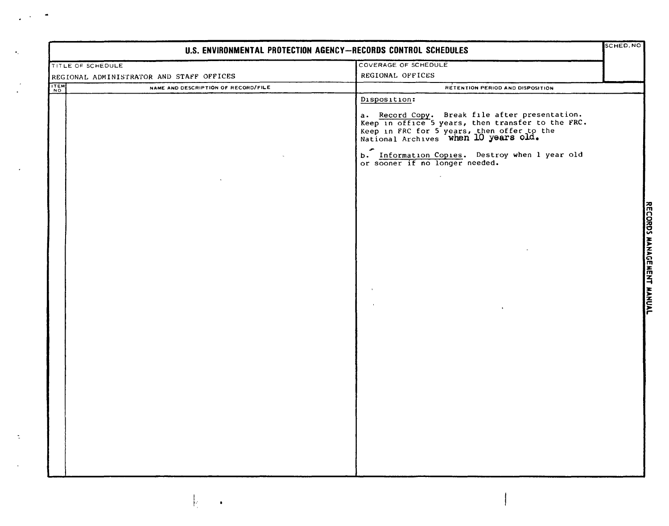| U.S. ENVIRONMENTAL PROTECTION AGENCY-RECORDS CONTROL SCHEDULES |                                          |                                                                                                                                                                                           |  |  |
|----------------------------------------------------------------|------------------------------------------|-------------------------------------------------------------------------------------------------------------------------------------------------------------------------------------------|--|--|
| TITLE OF SCHEDULE                                              |                                          | COVERAGE OF SCHEDULE                                                                                                                                                                      |  |  |
|                                                                | REGIONAL ADMINISTRATOR AND STAFF OFFICES | REGIONAL OFFICES                                                                                                                                                                          |  |  |
| ITEM                                                           | NAME AND DESCRIPTION OF RECORD/FILE      | RETENTION PERIOD AND DISPOSITION                                                                                                                                                          |  |  |
|                                                                |                                          | Disposition:                                                                                                                                                                              |  |  |
|                                                                |                                          | a. Record Copy. Break file after presentation.<br>Keep in office 5 years, then transfer to the FRC.<br>Keep in FRC for 5 years, then offer to the<br>National Archives when 10 years old. |  |  |
|                                                                |                                          | b. Information Copies. Destroy when I year old<br>or sooner if no longer needed.                                                                                                          |  |  |
|                                                                |                                          |                                                                                                                                                                                           |  |  |
|                                                                |                                          |                                                                                                                                                                                           |  |  |
|                                                                |                                          |                                                                                                                                                                                           |  |  |
|                                                                |                                          |                                                                                                                                                                                           |  |  |
|                                                                |                                          |                                                                                                                                                                                           |  |  |
|                                                                |                                          | $\bullet$                                                                                                                                                                                 |  |  |
|                                                                |                                          |                                                                                                                                                                                           |  |  |
|                                                                |                                          |                                                                                                                                                                                           |  |  |
|                                                                |                                          |                                                                                                                                                                                           |  |  |
|                                                                |                                          |                                                                                                                                                                                           |  |  |
|                                                                |                                          |                                                                                                                                                                                           |  |  |
|                                                                |                                          |                                                                                                                                                                                           |  |  |

1 I':

 $\ddot{\phantom{a}}$ 

 $\ddot{\gamma}$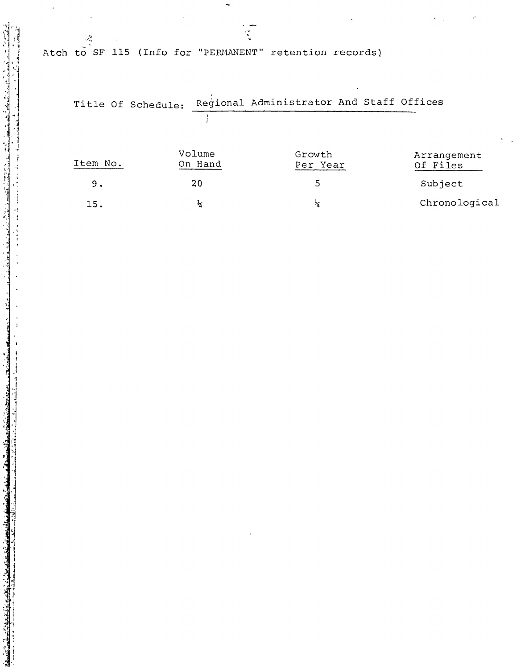Atch to SF 115 (Info for "PERMANENT" retention records)

 $\frac{1}{2}$ 

|          | Title Of Schedule: |                   | Regional Administrator And Staff Offices |  |                         |
|----------|--------------------|-------------------|------------------------------------------|--|-------------------------|
|          |                    |                   |                                          |  |                         |
| Item No. |                    | Volume<br>On Hand | Growth<br>Per Year                       |  | Arrangement<br>Of Files |
| 9.       |                    | 20                | 5                                        |  | Subject                 |
| 15.      |                    | ∗∡                | ∗∡                                       |  | Chronological           |

 $\bar{\epsilon}^{\bar{\alpha}}$ 

المواقعة المستقدمة المستقدمة المتحدة المستقدمة المستقدمة المستقدمة المستقدمة المستقدمة المستقدمة المستقدمة الم<br>والمستقدمة المستقدمة المستقدمة المستقدمة المستقدمة المستقدمة المستقدمة المستقدمة المستقدمة المستقدمة المستقدمة

 $\overline{\phantom{a}}$